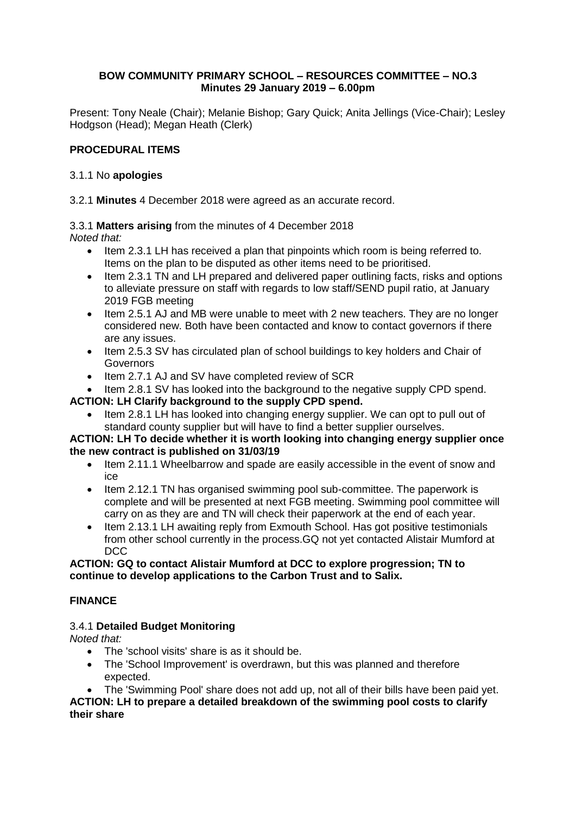### **BOW COMMUNITY PRIMARY SCHOOL – RESOURCES COMMITTEE – NO.3 Minutes 29 January 2019 – 6.00pm**

Present: Tony Neale (Chair); Melanie Bishop; Gary Quick; Anita Jellings (Vice-Chair); Lesley Hodgson (Head); Megan Heath (Clerk)

# **PROCEDURAL ITEMS**

### 3.1.1 No **apologies**

### 3.2.1 **Minutes** 4 December 2018 were agreed as an accurate record.

3.3.1 **Matters arising** from the minutes of 4 December 2018

*Noted that:* 

- Item 2.3.1 LH has received a plan that pinpoints which room is being referred to. Items on the plan to be disputed as other items need to be prioritised.
- Item 2.3.1 TN and LH prepared and delivered paper outlining facts, risks and options to alleviate pressure on staff with regards to low staff/SEND pupil ratio, at January 2019 FGB meeting
- Item 2.5.1 AJ and MB were unable to meet with 2 new teachers. They are no longer considered new. Both have been contacted and know to contact governors if there are any issues.
- Item 2.5.3 SV has circulated plan of school buildings to key holders and Chair of Governors
- Item 2.7.1 AJ and SV have completed review of SCR

Item 2.8.1 SV has looked into the background to the negative supply CPD spend.

# **ACTION: LH Clarify background to the supply CPD spend.**

 Item 2.8.1 LH has looked into changing energy supplier. We can opt to pull out of standard county supplier but will have to find a better supplier ourselves.

### **ACTION: LH To decide whether it is worth looking into changing energy supplier once the new contract is published on 31/03/19**

- Item 2.11.1 Wheelbarrow and spade are easily accessible in the event of snow and ice
- Item 2.12.1 TN has organised swimming pool sub-committee. The paperwork is complete and will be presented at next FGB meeting. Swimming pool committee will carry on as they are and TN will check their paperwork at the end of each year.
- Item 2.13.1 LH awaiting reply from Exmouth School. Has got positive testimonials from other school currently in the process.GQ not yet contacted Alistair Mumford at DCC

### **ACTION: GQ to contact Alistair Mumford at DCC to explore progression; TN to continue to develop applications to the Carbon Trust and to Salix.**

# **FINANCE**

# 3.4.1 **Detailed Budget Monitoring**

*Noted that:*

- The 'school visits' share is as it should be.
- The 'School Improvement' is overdrawn, but this was planned and therefore expected.
- The 'Swimming Pool' share does not add up, not all of their bills have been paid yet.

**ACTION: LH to prepare a detailed breakdown of the swimming pool costs to clarify their share**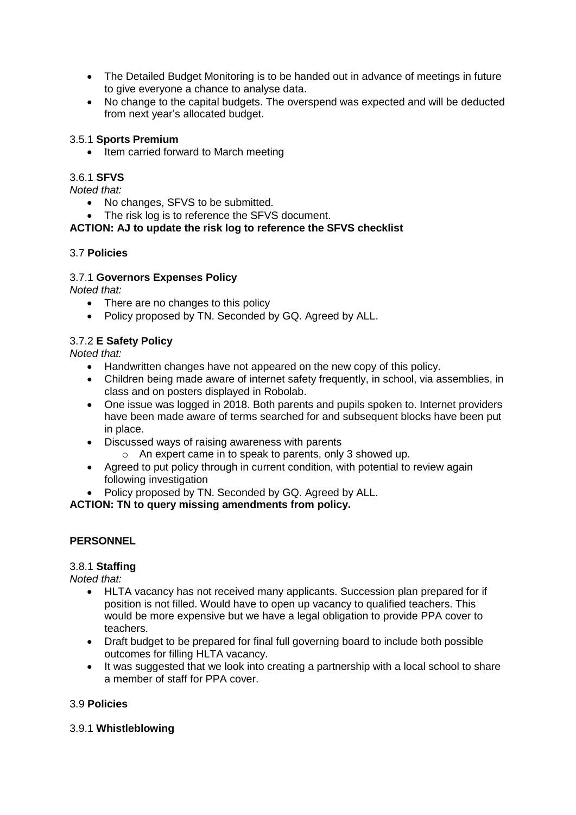- The Detailed Budget Monitoring is to be handed out in advance of meetings in future to give everyone a chance to analyse data.
- No change to the capital budgets. The overspend was expected and will be deducted from next year's allocated budget.

### 3.5.1 **Sports Premium**

• Item carried forward to March meeting

### 3.6.1 **SFVS**

*Noted that:*

- No changes, SFVS to be submitted.
- The risk log is to reference the SFVS document.

# **ACTION: AJ to update the risk log to reference the SFVS checklist**

### 3.7 **Policies**

# 3.7.1 **Governors Expenses Policy**

*Noted that:*

- There are no changes to this policy
- Policy proposed by TN. Seconded by GQ. Agreed by ALL.

# 3.7.2 **E Safety Policy**

*Noted that:*

- Handwritten changes have not appeared on the new copy of this policy.
- Children being made aware of internet safety frequently, in school, via assemblies, in class and on posters displayed in Robolab.
- One issue was logged in 2018. Both parents and pupils spoken to. Internet providers have been made aware of terms searched for and subsequent blocks have been put in place.
- Discussed ways of raising awareness with parents
	- o An expert came in to speak to parents, only 3 showed up.
- Agreed to put policy through in current condition, with potential to review again following investigation
- Policy proposed by TN. Seconded by GQ. Agreed by ALL.

**ACTION: TN to query missing amendments from policy.**

### **PERSONNEL**

### 3.8.1 **Staffing**

*Noted that:*

- HLTA vacancy has not received many applicants. Succession plan prepared for if position is not filled. Would have to open up vacancy to qualified teachers. This would be more expensive but we have a legal obligation to provide PPA cover to teachers.
- Draft budget to be prepared for final full governing board to include both possible outcomes for filling HLTA vacancy.
- It was suggested that we look into creating a partnership with a local school to share a member of staff for PPA cover.

# 3.9 **Policies**

### 3.9.1 **Whistleblowing**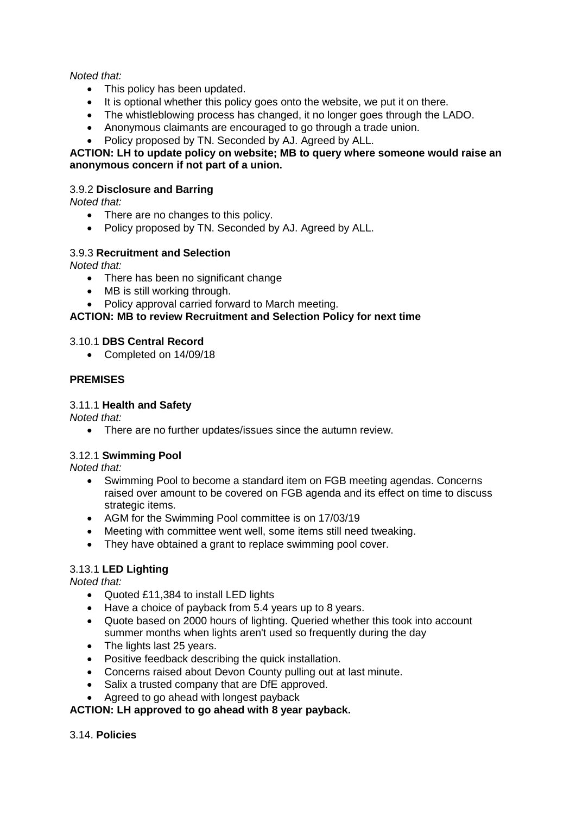### *Noted that:*

- This policy has been updated.
- $\bullet$  It is optional whether this policy goes onto the website, we put it on there.
- The whistleblowing process has changed, it no longer goes through the LADO.
- Anonymous claimants are encouraged to go through a trade union.
- Policy proposed by TN. Seconded by AJ. Agreed by ALL.

### **ACTION: LH to update policy on website; MB to query where someone would raise an anonymous concern if not part of a union.**

# 3.9.2 **Disclosure and Barring**

*Noted that:*

- There are no changes to this policy.
- Policy proposed by TN. Seconded by AJ. Agreed by ALL.

# 3.9.3 **Recruitment and Selection**

*Noted that:*

- There has been no significant change
- MB is still working through.
- Policy approval carried forward to March meeting.

# **ACTION: MB to review Recruitment and Selection Policy for next time**

### 3.10.1 **DBS Central Record**

• Completed on 14/09/18

# **PREMISES**

### 3.11.1 **Health and Safety**

*Noted that:* 

• There are no further updates/issues since the autumn review.

### 3.12.1 **Swimming Pool**

*Noted that:* 

- Swimming Pool to become a standard item on FGB meeting agendas. Concerns raised over amount to be covered on FGB agenda and its effect on time to discuss strategic items.
- AGM for the Swimming Pool committee is on 17/03/19
- Meeting with committee went well, some items still need tweaking.
- They have obtained a grant to replace swimming pool cover.

# 3.13.1 **LED Lighting**

*Noted that:*

- Quoted £11,384 to install LED lights
- Have a choice of payback from 5.4 years up to 8 years.
- Quote based on 2000 hours of lighting. Queried whether this took into account summer months when lights aren't used so frequently during the day
- The lights last 25 years.
- Positive feedback describing the quick installation.
- Concerns raised about Devon County pulling out at last minute.
- Salix a trusted company that are DfE approved.
- Agreed to go ahead with longest payback

### **ACTION: LH approved to go ahead with 8 year payback.**

### 3.14. **Policies**